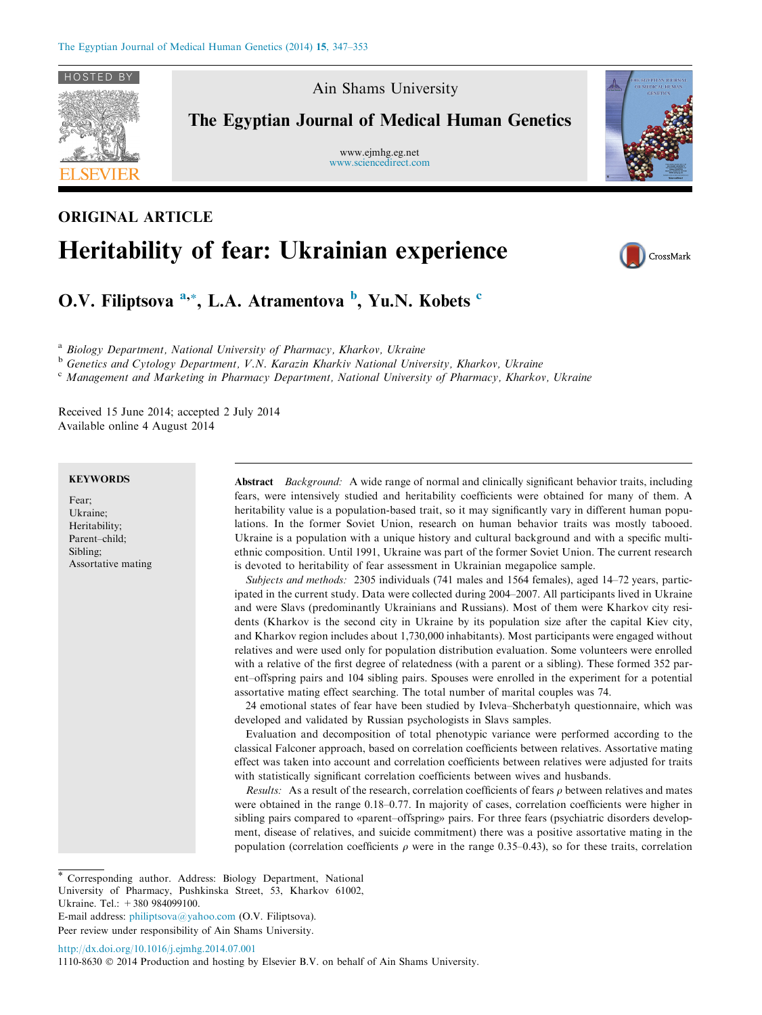

Ain Shams University

The Egyptian Journal of Medical Human Genetics

www.ejmhg.eg.net [www.sciencedirect.com](http://www.sciencedirect.com/science/journal/11108630)



# ORIGINAL ARTICLE Heritability of fear: Ukrainian experience



O.V. Filiptsova<sup>a,\*</sup>, L.A. Atramentova <sup>b</sup>, Yu.N. Kobets <sup>c</sup>

<sup>a</sup> Biology Department, National University of Pharmacy, Kharkov, Ukraine

<sup>b</sup> Genetics and Cytology Department, V.N. Karazin Kharkiv National University, Kharkov, Ukraine

<sup>c</sup> Management and Marketing in Pharmacy Department, National University of Pharmacy, Kharkov, Ukraine

Received 15 June 2014; accepted 2 July 2014 Available online 4 August 2014

#### **KEYWORDS**

Fear; Ukraine; Heritability; Parent–child; Sibling; Assortative mating

Abstract Background: A wide range of normal and clinically significant behavior traits, including fears, were intensively studied and heritability coefficients were obtained for many of them. A heritability value is a population-based trait, so it may significantly vary in different human populations. In the former Soviet Union, research on human behavior traits was mostly tabooed. Ukraine is a population with a unique history and cultural background and with a specific multiethnic composition. Until 1991, Ukraine was part of the former Soviet Union. The current research is devoted to heritability of fear assessment in Ukrainian megapolice sample.

Subjects and methods: 2305 individuals (741 males and 1564 females), aged 14–72 years, participated in the current study. Data were collected during 2004–2007. All participants lived in Ukraine and were Slavs (predominantly Ukrainians and Russians). Most of them were Kharkov city residents (Kharkov is the second city in Ukraine by its population size after the capital Kiev city, and Kharkov region includes about 1,730,000 inhabitants). Most participants were engaged without relatives and were used only for population distribution evaluation. Some volunteers were enrolled with a relative of the first degree of relatedness (with a parent or a sibling). These formed 352 parent–offspring pairs and 104 sibling pairs. Spouses were enrolled in the experiment for a potential assortative mating effect searching. The total number of marital couples was 74.

24 emotional states of fear have been studied by Ivleva–Shcherbatyh questionnaire, which was developed and validated by Russian psychologists in Slavs samples.

Evaluation and decomposition of total phenotypic variance were performed according to the classical Falconer approach, based on correlation coefficients between relatives. Assortative mating effect was taken into account and correlation coefficients between relatives were adjusted for traits with statistically significant correlation coefficients between wives and husbands.

*Results:* As a result of the research, correlation coefficients of fears  $\rho$  between relatives and mates were obtained in the range 0.18–0.77. In majority of cases, correlation coefficients were higher in sibling pairs compared to «parent–offspring» pairs. For three fears (psychiatric disorders development, disease of relatives, and suicide commitment) there was a positive assortative mating in the population (correlation coefficients  $\rho$  were in the range 0.35–0.43), so for these traits, correlation

\* Corresponding author. Address: Biology Department, National University of Pharmacy, Pushkinska Street, 53, Kharkov 61002,

Ukraine. Tel.: +380 984099100.

E-mail address: [philiptsova@yahoo.com](mailto:philiptsova@yahoo.com) (O.V. Filiptsova). Peer review under responsibility of Ain Shams University.

<http://dx.doi.org/10.1016/j.ejmhg.2014.07.001>  $1110-8630 \odot 2014$  Production and hosting by Elsevier B.V. on behalf of Ain Shams University.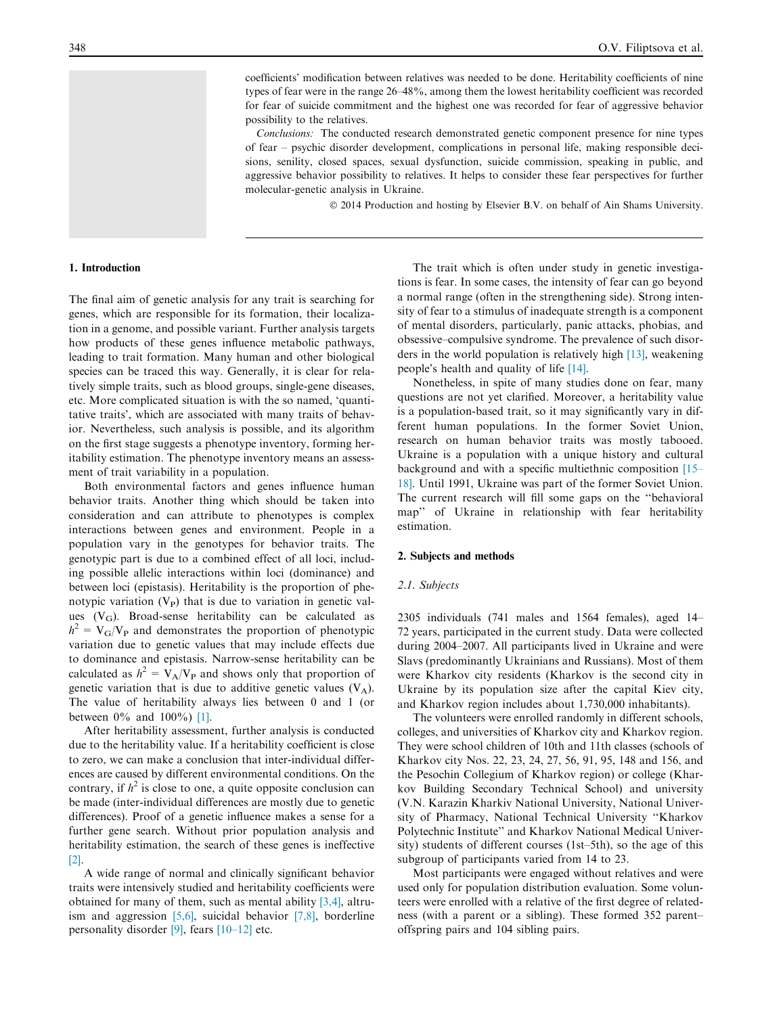coefficients' modification between relatives was needed to be done. Heritability coefficients of nine types of fear were in the range 26–48%, among them the lowest heritability coefficient was recorded for fear of suicide commitment and the highest one was recorded for fear of aggressive behavior possibility to the relatives.

Conclusions: The conducted research demonstrated genetic component presence for nine types of fear – psychic disorder development, complications in personal life, making responsible decisions, senility, closed spaces, sexual dysfunction, suicide commission, speaking in public, and aggressive behavior possibility to relatives. It helps to consider these fear perspectives for further molecular-genetic analysis in Ukraine.

 $© 2014$  Production and hosting by Elsevier B.V. on behalf of Ain Shams University.

#### 1. Introduction

The final aim of genetic analysis for any trait is searching for genes, which are responsible for its formation, their localization in a genome, and possible variant. Further analysis targets how products of these genes influence metabolic pathways, leading to trait formation. Many human and other biological species can be traced this way. Generally, it is clear for relatively simple traits, such as blood groups, single-gene diseases, etc. More complicated situation is with the so named, 'quantitative traits', which are associated with many traits of behavior. Nevertheless, such analysis is possible, and its algorithm on the first stage suggests a phenotype inventory, forming heritability estimation. The phenotype inventory means an assessment of trait variability in a population.

Both environmental factors and genes influence human behavior traits. Another thing which should be taken into consideration and can attribute to phenotypes is complex interactions between genes and environment. People in a population vary in the genotypes for behavior traits. The genotypic part is due to a combined effect of all loci, including possible allelic interactions within loci (dominance) and between loci (epistasis). Heritability is the proportion of phenotypic variation  $(V_P)$  that is due to variation in genetic values  $(V_G)$ . Broad-sense heritability can be calculated as  $h^2 = V_G/V_P$  and demonstrates the proportion of phenotypic variation due to genetic values that may include effects due to dominance and epistasis. Narrow-sense heritability can be calculated as  $h^2 = V_A/V_P$  and shows only that proportion of genetic variation that is due to additive genetic values  $(V_A)$ . The value of heritability always lies between 0 and 1 (or between 0% and 100%) [\[1\].](#page-5-0)

After heritability assessment, further analysis is conducted due to the heritability value. If a heritability coefficient is close to zero, we can make a conclusion that inter-individual differences are caused by different environmental conditions. On the contrary, if  $h^2$  is close to one, a quite opposite conclusion can be made (inter-individual differences are mostly due to genetic differences). Proof of a genetic influence makes a sense for a further gene search. Without prior population analysis and heritability estimation, the search of these genes is ineffective [\[2\]](#page-5-0).

A wide range of normal and clinically significant behavior traits were intensively studied and heritability coefficients were obtained for many of them, such as mental ability [\[3,4\]](#page-5-0), altruism and aggression [\[5,6\]](#page-5-0), suicidal behavior [\[7,8\],](#page-5-0) borderline personality disorder  $[9]$ , fears  $[10-12]$  etc.

The trait which is often under study in genetic investigations is fear. In some cases, the intensity of fear can go beyond a normal range (often in the strengthening side). Strong intensity of fear to a stimulus of inadequate strength is a component of mental disorders, particularly, panic attacks, phobias, and obsessive–compulsive syndrome. The prevalence of such disorders in the world population is relatively high [\[13\]](#page-5-0), weakening people's health and quality of life [\[14\]](#page-5-0).

Nonetheless, in spite of many studies done on fear, many questions are not yet clarified. Moreover, a heritability value is a population-based trait, so it may significantly vary in different human populations. In the former Soviet Union, research on human behavior traits was mostly tabooed. Ukraine is a population with a unique history and cultural background and with a specific multiethnic composition [\[15–](#page-5-0) [18\]](#page-5-0). Until 1991, Ukraine was part of the former Soviet Union. The current research will fill some gaps on the ''behavioral map'' of Ukraine in relationship with fear heritability estimation.

#### 2. Subjects and methods

#### 2.1. Subjects

2305 individuals (741 males and 1564 females), aged 14– 72 years, participated in the current study. Data were collected during 2004–2007. All participants lived in Ukraine and were Slavs (predominantly Ukrainians and Russians). Most of them were Kharkov city residents (Kharkov is the second city in Ukraine by its population size after the capital Kiev city, and Kharkov region includes about 1,730,000 inhabitants).

The volunteers were enrolled randomly in different schools, colleges, and universities of Kharkov city and Kharkov region. They were school children of 10th and 11th classes (schools of Kharkov city Nos. 22, 23, 24, 27, 56, 91, 95, 148 and 156, and the Pesochin Collegium of Kharkov region) or college (Kharkov Building Secondary Technical School) and university (V.N. Karazin Kharkiv National University, National University of Pharmacy, National Technical University ''Kharkov Polytechnic Institute'' and Kharkov National Medical University) students of different courses (1st–5th), so the age of this subgroup of participants varied from 14 to 23.

Most participants were engaged without relatives and were used only for population distribution evaluation. Some volunteers were enrolled with a relative of the first degree of relatedness (with a parent or a sibling). These formed 352 parent– offspring pairs and 104 sibling pairs.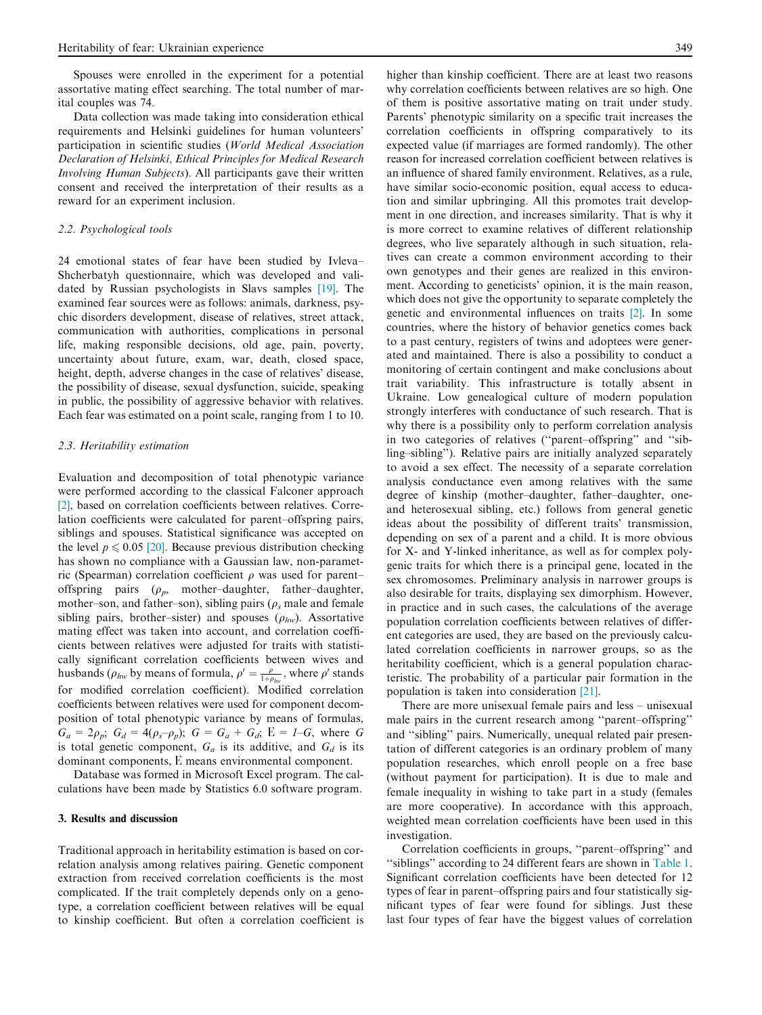Spouses were enrolled in the experiment for a potential assortative mating effect searching. The total number of marital couples was 74.

Data collection was made taking into consideration ethical requirements and Helsinki guidelines for human volunteers' participation in scientific studies (World Medical Association Declaration of Helsinki, Ethical Principles for Medical Research Involving Human Subjects). All participants gave their written consent and received the interpretation of their results as a reward for an experiment inclusion.

## 2.2. Psychological tools

24 emotional states of fear have been studied by Ivleva– Shcherbatyh questionnaire, which was developed and validated by Russian psychologists in Slavs samples [\[19\]](#page-6-0). The examined fear sources were as follows: animals, darkness, psychic disorders development, disease of relatives, street attack, communication with authorities, complications in personal life, making responsible decisions, old age, pain, poverty, uncertainty about future, exam, war, death, closed space, height, depth, adverse changes in the case of relatives' disease, the possibility of disease, sexual dysfunction, suicide, speaking in public, the possibility of aggressive behavior with relatives. Each fear was estimated on a point scale, ranging from 1 to 10.

## 2.3. Heritability estimation

Evaluation and decomposition of total phenotypic variance were performed according to the classical Falconer approach [\[2\],](#page-5-0) based on correlation coefficients between relatives. Correlation coefficients were calculated for parent–offspring pairs, siblings and spouses. Statistical significance was accepted on the level  $p \le 0.05$  [\[20\].](#page-6-0) Because previous distribution checking has shown no compliance with a Gaussian law, non-parametric (Spearman) correlation coefficient  $\rho$  was used for parent– offspring pairs  $(\rho_p, \text{mother–daughter}, \text{father–daughter},$ mother–son, and father–son), sibling pairs ( $\rho_s$  male and female sibling pairs, brother–sister) and spouses  $(\rho_{hw})$ . Assortative mating effect was taken into account, and correlation coefficients between relatives were adjusted for traits with statistically significant correlation coefficients between wives and husbands ( $\rho_{hw}$  by means of formula,  $\rho' = \frac{\rho}{1+\rho_{hw}}$ , where  $\rho'$  stands for modified correlation coefficient). Modified correlation coefficients between relatives were used for component decomposition of total phenotypic variance by means of formulas,  $G_a = 2\rho_p$ ;  $G_d = 4(\rho_s - \rho_p)$ ;  $G = G_a + G_d$ ;  $E = 1-G$ , where G is total genetic component,  $G_a$  is its additive, and  $G_d$  is its dominant components, E means environmental component.

Database was formed in Microsoft Excel program. The calculations have been made by Statistics 6.0 software program.

## 3. Results and discussion

Traditional approach in heritability estimation is based on correlation analysis among relatives pairing. Genetic component extraction from received correlation coefficients is the most complicated. If the trait completely depends only on a genotype, a correlation coefficient between relatives will be equal to kinship coefficient. But often a correlation coefficient is higher than kinship coefficient. There are at least two reasons why correlation coefficients between relatives are so high. One of them is positive assortative mating on trait under study. Parents' phenotypic similarity on a specific trait increases the correlation coefficients in offspring comparatively to its expected value (if marriages are formed randomly). The other reason for increased correlation coefficient between relatives is an influence of shared family environment. Relatives, as a rule, have similar socio-economic position, equal access to education and similar upbringing. All this promotes trait development in one direction, and increases similarity. That is why it is more correct to examine relatives of different relationship degrees, who live separately although in such situation, relatives can create a common environment according to their own genotypes and their genes are realized in this environment. According to geneticists' opinion, it is the main reason, which does not give the opportunity to separate completely the genetic and environmental influences on traits [\[2\]](#page-5-0). In some countries, where the history of behavior genetics comes back to a past century, registers of twins and adoptees were generated and maintained. There is also a possibility to conduct a monitoring of certain contingent and make conclusions about trait variability. This infrastructure is totally absent in Ukraine. Low genealogical culture of modern population strongly interferes with conductance of such research. That is why there is a possibility only to perform correlation analysis in two categories of relatives (''parent–offspring'' and ''sibling–sibling''). Relative pairs are initially analyzed separately to avoid a sex effect. The necessity of a separate correlation analysis conductance even among relatives with the same degree of kinship (mother–daughter, father–daughter, oneand heterosexual sibling, etc.) follows from general genetic ideas about the possibility of different traits' transmission, depending on sex of a parent and a child. It is more obvious for X- and Y-linked inheritance, as well as for complex polygenic traits for which there is a principal gene, located in the sex chromosomes. Preliminary analysis in narrower groups is also desirable for traits, displaying sex dimorphism. However, in practice and in such cases, the calculations of the average population correlation coefficients between relatives of different categories are used, they are based on the previously calculated correlation coefficients in narrower groups, so as the heritability coefficient, which is a general population characteristic. The probability of a particular pair formation in the population is taken into consideration [\[21\]](#page-6-0).

There are more unisexual female pairs and less – unisexual male pairs in the current research among ''parent–offspring'' and ''sibling'' pairs. Numerically, unequal related pair presentation of different categories is an ordinary problem of many population researches, which enroll people on a free base (without payment for participation). It is due to male and female inequality in wishing to take part in a study (females are more cooperative). In accordance with this approach, weighted mean correlation coefficients have been used in this investigation.

Correlation coefficients in groups, ''parent–offspring'' and ''siblings'' according to 24 different fears are shown in [Table 1](#page-3-0). Significant correlation coefficients have been detected for 12 types of fear in parent–offspring pairs and four statistically significant types of fear were found for siblings. Just these last four types of fear have the biggest values of correlation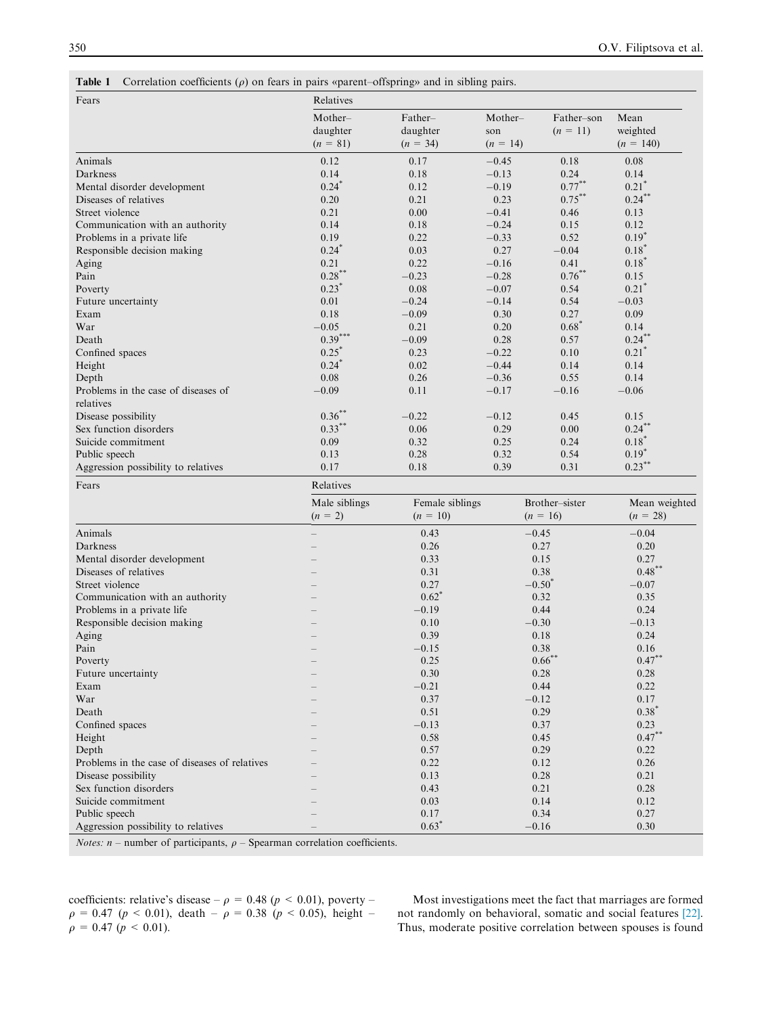<span id="page-3-0"></span>**Table 1** Correlation coefficients  $(\rho)$  on fears in pairs «parent–offspring» and in sibling pairs.

| Fears                                            | Relatives                         |                                   |                              |                          |                                 |
|--------------------------------------------------|-----------------------------------|-----------------------------------|------------------------------|--------------------------|---------------------------------|
|                                                  | Mother-<br>daughter<br>$(n = 81)$ | Father-<br>daughter<br>$(n = 34)$ | Mother-<br>son<br>$(n = 14)$ | Father-son<br>$(n = 11)$ | Mean<br>weighted<br>$(n = 140)$ |
| Animals                                          | 0.12                              | 0.17                              | $-0.45$                      | 0.18                     | 0.08                            |
| Darkness                                         | 0.14                              | 0.18                              | $-0.13$                      | 0.24                     | 0.14                            |
| Mental disorder development                      | $0.24*$                           | 0.12                              | $-0.19$                      | $0.77***$                | $0.21$ <sup>*</sup>             |
| Diseases of relatives                            | 0.20                              | 0.21                              | 0.23                         | $0.75***$                | $0.24***$                       |
| Street violence                                  | 0.21                              | 0.00                              | $-0.41$                      | 0.46                     | 0.13                            |
| Communication with an authority                  | 0.14                              | 0.18                              | $-0.24$                      | 0.15                     | 0.12                            |
| Problems in a private life                       | 0.19                              | 0.22                              | $-0.33$                      | 0.52                     | $0.19*$                         |
| Responsible decision making                      | $0.24*$                           | 0.03                              | 0.27                         | $-0.04$                  | $0.18*$                         |
| Aging                                            | 0.21                              | 0.22                              | $-0.16$                      | 0.41                     | $0.18*$                         |
| Pain                                             | $0.28***$                         | $-0.23$                           | $-0.28$                      | $0.76***$                | 0.15                            |
| Poverty                                          | $0.23$ <sup>*</sup>               | 0.08                              | $-0.07$                      | 0.54                     | $0.21$ <sup>*</sup>             |
| Future uncertainty                               | 0.01                              | $-0.24$                           | $-0.14$                      | 0.54                     | $-0.03$                         |
| Exam                                             | 0.18                              | $-0.09$                           | 0.30                         | 0.27                     | 0.09                            |
| War                                              | $-0.05$                           | 0.21                              | 0.20                         | $0.68^*$                 | 0.14                            |
| Death                                            | $0.39***$                         | $-0.09$                           | 0.28                         | 0.57                     | $0.24***$                       |
| Confined spaces                                  | $0.25^*$                          | 0.23                              | $-0.22$                      | 0.10                     | $0.21$ <sup>*</sup>             |
| Height                                           | $0.24^*$                          | 0.02                              | $-0.44$                      | 0.14                     | 0.14                            |
| Depth                                            | 0.08                              | 0.26                              | $-0.36$                      | 0.55                     | 0.14                            |
| Problems in the case of diseases of<br>relatives | $-0.09$                           | 0.11                              | $-0.17$                      | $-0.16$                  | $-0.06$                         |
| Disease possibility                              | $0.36***$                         | $-0.22$                           | $-0.12$                      | 0.45                     | 0.15                            |
| Sex function disorders                           | $0.33***$                         | 0.06                              | 0.29                         | 0.00                     | $0.24***$                       |
| Suicide commitment                               | 0.09                              | 0.32                              | 0.25                         | 0.24                     | $0.18*$                         |
| Public speech                                    | 0.13                              | 0.28                              | 0.32                         | 0.54                     | $0.19*$                         |
| Aggression possibility to relatives              | 0.17                              | 0.18                              | 0.39                         | 0.31                     | $0.23***$                       |
| Fears                                            | Relatives                         |                                   |                              |                          |                                 |
|                                                  |                                   |                                   |                              |                          |                                 |

|                                               | Male siblings | Female siblings | Brother-sister | Mean weighted |
|-----------------------------------------------|---------------|-----------------|----------------|---------------|
|                                               | $(n = 2)$     | $(n = 10)$      | $(n = 16)$     | $(n = 28)$    |
| Animals                                       |               | 0.43            | $-0.45$        | $-0.04$       |
| Darkness                                      |               | 0.26            | 0.27           | 0.20          |
| Mental disorder development                   |               | 0.33            | 0.15           | 0.27          |
| Diseases of relatives                         |               | 0.31            | 0.38           | $0.48***$     |
| Street violence                               |               | 0.27            | $-0.50^*$      | $-0.07$       |
| Communication with an authority               |               | $0.62^*$        | 0.32           | 0.35          |
| Problems in a private life                    |               | $-0.19$         | 0.44           | 0.24          |
| Responsible decision making                   |               | 0.10            | $-0.30$        | $-0.13$       |
| Aging                                         |               | 0.39            | 0.18           | 0.24          |
| Pain                                          |               | $-0.15$         | 0.38           | 0.16          |
| Poverty                                       |               | 0.25            | $0.66$ **      | $0.47***$     |
| Future uncertainty                            |               | 0.30            | 0.28           | 0.28          |
| Exam                                          |               | $-0.21$         | 0.44           | 0.22          |
| War                                           |               | 0.37            | $-0.12$        | 0.17          |
| Death                                         |               | 0.51            | 0.29           | $0.38*$       |
| Confined spaces                               |               | $-0.13$         | 0.37           | 0.23          |
| Height                                        |               | 0.58            | 0.45           | $0.47***$     |
| Depth                                         |               | 0.57            | 0.29           | 0.22          |
| Problems in the case of diseases of relatives |               | 0.22            | 0.12           | 0.26          |
| Disease possibility                           |               | 0.13            | 0.28           | 0.21          |
| Sex function disorders                        |               | 0.43            | 0.21           | 0.28          |
| Suicide commitment                            |               | 0.03            | 0.14           | 0.12          |
| Public speech                                 |               | 0.17            | 0.34           | 0.27          |
| Aggression possibility to relatives           |               | $0.63*$         | $-0.16$        | 0.30          |

*Notes:*  $n$  – number of participants,  $\rho$  – Spearman correlation coefficients.

coefficients: relative's disease –  $\rho = 0.48$  ( $p < 0.01$ ), poverty –  $\rho = 0.47$  ( $p < 0.01$ ), death –  $\rho = 0.38$  ( $p < 0.05$ ), height –  $\rho = 0.47$  ( $p < 0.01$ ).

Most investigations meet the fact that marriages are formed not randomly on behavioral, somatic and social features [\[22\]](#page-6-0). Thus, moderate positive correlation between spouses is found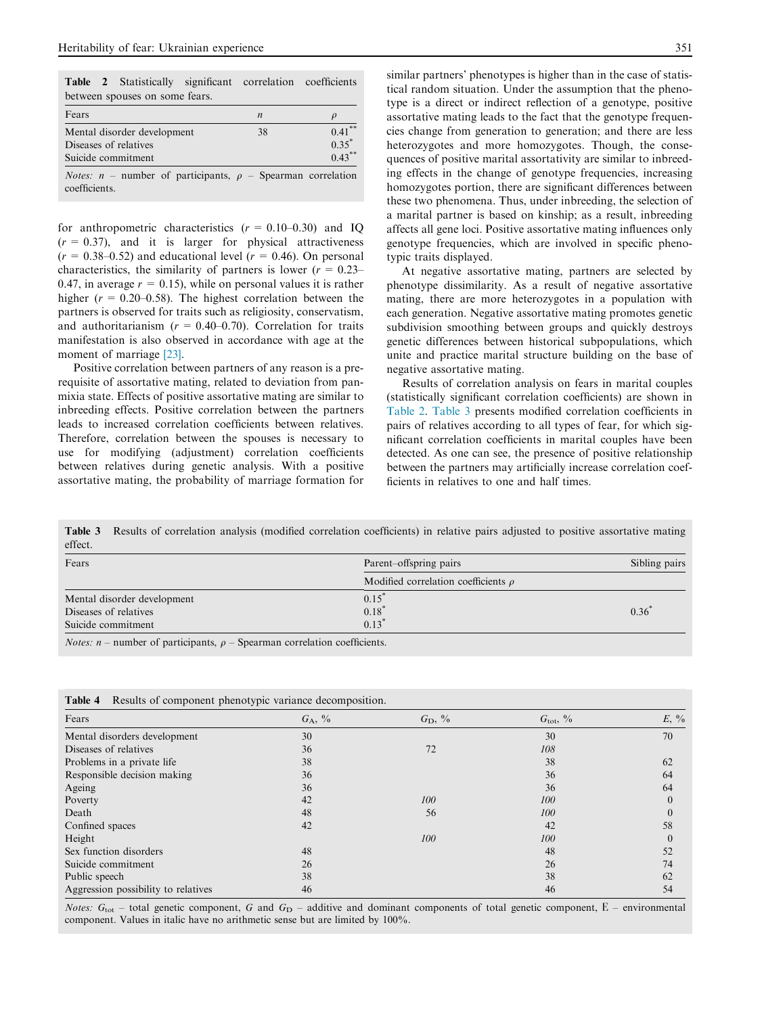coefficients.

<span id="page-4-0"></span>Table 2 Statistically significant correlation coefficients between spouses on some fears.

| Fears                                                                     | n  |           |
|---------------------------------------------------------------------------|----|-----------|
| Mental disorder development                                               | 38 | $0.41***$ |
| Diseases of relatives                                                     |    | $0.35^*$  |
| Suicide commitment                                                        |    | $0.43***$ |
| <i>Notes:</i> $n$ – number of participants, $\rho$ – Spearman correlation |    |           |

for anthropometric characteristics  $(r = 0.10-0.30)$  and IQ  $(r = 0.37)$ , and it is larger for physical attractiveness  $(r = 0.38 - 0.52)$  and educational level  $(r = 0.46)$ . On personal characteristics, the similarity of partners is lower ( $r = 0.23-$ 0.47, in average  $r = 0.15$ , while on personal values it is rather higher  $(r = 0.20 - 0.58)$ . The highest correlation between the partners is observed for traits such as religiosity, conservatism, and authoritarianism  $(r = 0.40{\text -}0.70)$ . Correlation for traits manifestation is also observed in accordance with age at the moment of marriage [\[23\].](#page-6-0)

Positive correlation between partners of any reason is a prerequisite of assortative mating, related to deviation from panmixia state. Effects of positive assortative mating are similar to inbreeding effects. Positive correlation between the partners leads to increased correlation coefficients between relatives. Therefore, correlation between the spouses is necessary to use for modifying (adjustment) correlation coefficients between relatives during genetic analysis. With a positive assortative mating, the probability of marriage formation for similar partners' phenotypes is higher than in the case of statistical random situation. Under the assumption that the phenotype is a direct or indirect reflection of a genotype, positive assortative mating leads to the fact that the genotype frequencies change from generation to generation; and there are less heterozygotes and more homozygotes. Though, the consequences of positive marital assortativity are similar to inbreeding effects in the change of genotype frequencies, increasing homozygotes portion, there are significant differences between these two phenomena. Thus, under inbreeding, the selection of a marital partner is based on kinship; as a result, inbreeding affects all gene loci. Positive assortative mating influences only genotype frequencies, which are involved in specific phenotypic traits displayed.

At negative assortative mating, partners are selected by phenotype dissimilarity. As a result of negative assortative mating, there are more heterozygotes in a population with each generation. Negative assortative mating promotes genetic subdivision smoothing between groups and quickly destroys genetic differences between historical subpopulations, which unite and practice marital structure building on the base of negative assortative mating.

Results of correlation analysis on fears in marital couples (statistically significant correlation coefficients) are shown in Table 2. Table 3 presents modified correlation coefficients in pairs of relatives according to all types of fear, for which significant correlation coefficients in marital couples have been detected. As one can see, the presence of positive relationship between the partners may artificially increase correlation coefficients in relatives to one and half times.

Table 3 Results of correlation analysis (modified correlation coefficients) in relative pairs adjusted to positive assortative mating effect.

| Fears                       | Parent-offspring pairs                   | Sibling pairs |
|-----------------------------|------------------------------------------|---------------|
|                             | Modified correlation coefficients $\rho$ |               |
| Mental disorder development | 0.15                                     |               |
| Diseases of relatives       | 0.18                                     | 0.36          |
| Suicide commitment          | 0.13'                                    |               |

*Notes:*  $n$  – number of participants,  $\rho$  – Spearman correlation coefficients.

|  |  | Table 4 Results of component phenotypic variance decomposition. |
|--|--|-----------------------------------------------------------------|
|  |  |                                                                 |

| Fears                               | $G_{\rm A}$ , % | $G_{\rm D}$ , % | $G_{\text{tot}}$ , % | $E, \%$  |
|-------------------------------------|-----------------|-----------------|----------------------|----------|
| Mental disorders development        | 30              |                 | 30                   | 70       |
| Diseases of relatives               | 36              | 72              | 108                  |          |
| Problems in a private life          | 38              |                 | 38                   | 62       |
| Responsible decision making         | 36              |                 | 36                   | 64       |
| Ageing                              | 36              |                 | 36                   | 64       |
| Poverty                             | 42              | 100             | 100                  | $\Omega$ |
| Death                               | 48              | 56              | 100                  | $\Omega$ |
| Confined spaces                     | 42              |                 | 42                   | 58       |
| Height                              |                 | 100             | 100                  | $\Omega$ |
| Sex function disorders              | 48              |                 | 48                   | 52       |
| Suicide commitment                  | 26              |                 | 26                   | 74       |
| Public speech                       | 38              |                 | 38                   | 62       |
| Aggression possibility to relatives | 46              |                 | 46                   | 54       |

Notes:  $G_{\text{tot}}$  – total genetic component, G and  $G_{\text{D}}$  – additive and dominant components of total genetic component, E – environmental component. Values in italic have no arithmetic sense but are limited by 100%.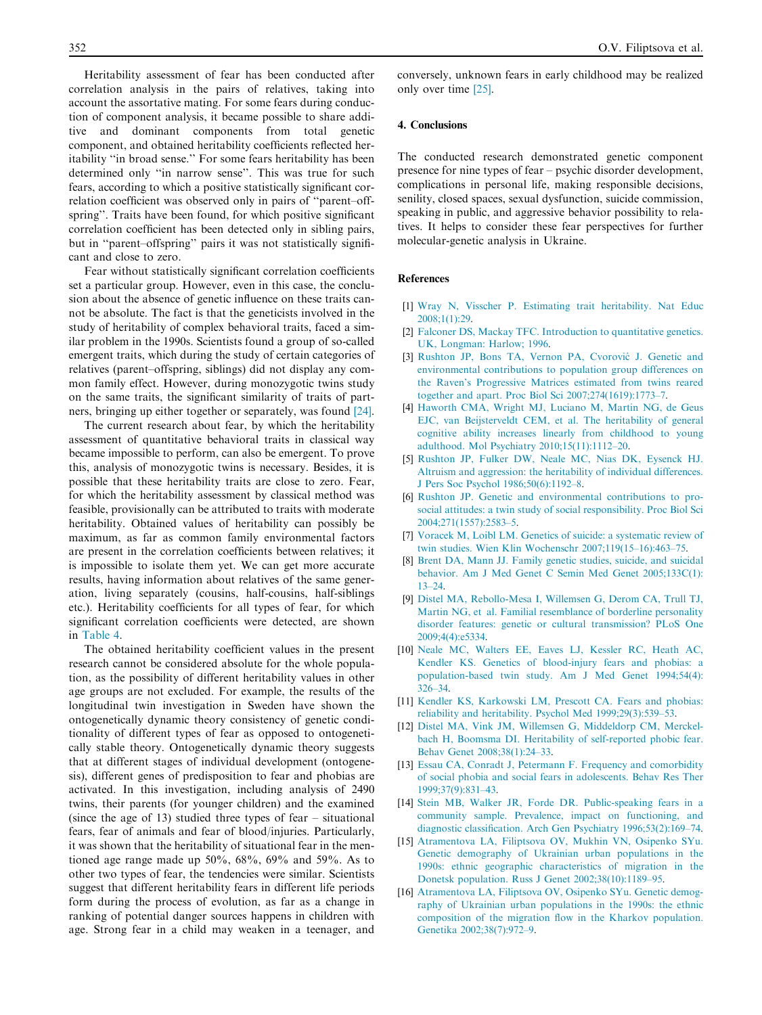<span id="page-5-0"></span>Heritability assessment of fear has been conducted after correlation analysis in the pairs of relatives, taking into account the assortative mating. For some fears during conduction of component analysis, it became possible to share additive and dominant components from total genetic component, and obtained heritability coefficients reflected heritability ''in broad sense.'' For some fears heritability has been determined only ''in narrow sense''. This was true for such fears, according to which a positive statistically significant correlation coefficient was observed only in pairs of ''parent–offspring''. Traits have been found, for which positive significant correlation coefficient has been detected only in sibling pairs, but in ''parent–offspring'' pairs it was not statistically significant and close to zero.

Fear without statistically significant correlation coefficients set a particular group. However, even in this case, the conclusion about the absence of genetic influence on these traits cannot be absolute. The fact is that the geneticists involved in the study of heritability of complex behavioral traits, faced a similar problem in the 1990s. Scientists found a group of so-called emergent traits, which during the study of certain categories of relatives (parent–offspring, siblings) did not display any common family effect. However, during monozygotic twins study on the same traits, the significant similarity of traits of partners, bringing up either together or separately, was found [\[24\]](#page-6-0).

The current research about fear, by which the heritability assessment of quantitative behavioral traits in classical way became impossible to perform, can also be emergent. To prove this, analysis of monozygotic twins is necessary. Besides, it is possible that these heritability traits are close to zero. Fear, for which the heritability assessment by classical method was feasible, provisionally can be attributed to traits with moderate heritability. Obtained values of heritability can possibly be maximum, as far as common family environmental factors are present in the correlation coefficients between relatives; it is impossible to isolate them yet. We can get more accurate results, having information about relatives of the same generation, living separately (cousins, half-cousins, half-siblings etc.). Heritability coefficients for all types of fear, for which significant correlation coefficients were detected, are shown in [Table 4](#page-4-0).

The obtained heritability coefficient values in the present research cannot be considered absolute for the whole population, as the possibility of different heritability values in other age groups are not excluded. For example, the results of the longitudinal twin investigation in Sweden have shown the ontogenetically dynamic theory consistency of genetic conditionality of different types of fear as opposed to ontogenetically stable theory. Ontogenetically dynamic theory suggests that at different stages of individual development (ontogenesis), different genes of predisposition to fear and phobias are activated. In this investigation, including analysis of 2490 twins, their parents (for younger children) and the examined (since the age of 13) studied three types of fear – situational fears, fear of animals and fear of blood/injuries. Particularly, it was shown that the heritability of situational fear in the mentioned age range made up 50%, 68%, 69% and 59%. As to other two types of fear, the tendencies were similar. Scientists suggest that different heritability fears in different life periods form during the process of evolution, as far as a change in ranking of potential danger sources happens in children with age. Strong fear in a child may weaken in a teenager, and conversely, unknown fears in early childhood may be realized only over time [\[25\].](#page-6-0)

## 4. Conclusions

The conducted research demonstrated genetic component presence for nine types of fear – psychic disorder development, complications in personal life, making responsible decisions, senility, closed spaces, sexual dysfunction, suicide commission, speaking in public, and aggressive behavior possibility to relatives. It helps to consider these fear perspectives for further molecular-genetic analysis in Ukraine.

## **References**

- [1] [Wray N, Visscher P. Estimating trait heritability. Nat Educ](http://refhub.elsevier.com/S1110-8630(14)00082-2/h0005) [2008;1\(1\):29.](http://refhub.elsevier.com/S1110-8630(14)00082-2/h0005)
- [2] [Falconer DS, Mackay TFC. Introduction to quantitative genetics.](http://refhub.elsevier.com/S1110-8630(14)00082-2/h0010) [UK, Longman: Harlow; 1996.](http://refhub.elsevier.com/S1110-8630(14)00082-2/h0010)
- [3] Rushton JP, Bons TA, Vernon PA, Cvorović J. Genetic and [environmental contributions to population group differences on](http://refhub.elsevier.com/S1110-8630(14)00082-2/h0015) [the Raven's Progressive Matrices estimated from twins reared](http://refhub.elsevier.com/S1110-8630(14)00082-2/h0015) [together and apart. Proc Biol Sci 2007;274\(1619\):1773–7](http://refhub.elsevier.com/S1110-8630(14)00082-2/h0015).
- [4] [Haworth CMA, Wright MJ, Luciano M, Martin NG, de Geus](http://refhub.elsevier.com/S1110-8630(14)00082-2/h0020) [EJC, van Beijsterveldt CEM, et al. The heritability of general](http://refhub.elsevier.com/S1110-8630(14)00082-2/h0020) [cognitive ability increases linearly from childhood to young](http://refhub.elsevier.com/S1110-8630(14)00082-2/h0020) [adulthood. Mol Psychiatry 2010;15\(11\):1112–20.](http://refhub.elsevier.com/S1110-8630(14)00082-2/h0020)
- [5] [Rushton JP, Fulker DW, Neale MC, Nias DK, Eysenck HJ.](http://refhub.elsevier.com/S1110-8630(14)00082-2/h0025) [Altruism and aggression: the heritability of individual differences.](http://refhub.elsevier.com/S1110-8630(14)00082-2/h0025) [J Pers Soc Psychol 1986;50\(6\):1192–8.](http://refhub.elsevier.com/S1110-8630(14)00082-2/h0025)
- [6] [Rushton JP. Genetic and environmental contributions to pro](http://refhub.elsevier.com/S1110-8630(14)00082-2/h0030)[social attitudes: a twin study of social responsibility. Proc Biol Sci](http://refhub.elsevier.com/S1110-8630(14)00082-2/h0030) [2004;271\(1557\):2583–5.](http://refhub.elsevier.com/S1110-8630(14)00082-2/h0030)
- [7] [Voracek M, Loibl LM. Genetics of suicide: a systematic review of](http://refhub.elsevier.com/S1110-8630(14)00082-2/h0035) [twin studies. Wien Klin Wochenschr 2007;119\(15–16\):463–75](http://refhub.elsevier.com/S1110-8630(14)00082-2/h0035).
- [8] [Brent DA, Mann JJ. Family genetic studies, suicide, and suicidal](http://refhub.elsevier.com/S1110-8630(14)00082-2/h0040) [behavior. Am J Med Genet C Semin Med Genet 2005;133C\(1\):](http://refhub.elsevier.com/S1110-8630(14)00082-2/h0040) [13–24](http://refhub.elsevier.com/S1110-8630(14)00082-2/h0040).
- [9] [Distel MA, Rebollo-Mesa I, Willemsen G, Derom CA, Trull TJ,](http://refhub.elsevier.com/S1110-8630(14)00082-2/h0045) [Martin NG, et al. Familial resemblance of borderline personality](http://refhub.elsevier.com/S1110-8630(14)00082-2/h0045) [disorder features: genetic or cultural transmission? PLoS One](http://refhub.elsevier.com/S1110-8630(14)00082-2/h0045) [2009;4\(4\):e5334](http://refhub.elsevier.com/S1110-8630(14)00082-2/h0045).
- [10] [Neale MC, Walters EE, Eaves LJ, Kessler RC, Heath AC,](http://refhub.elsevier.com/S1110-8630(14)00082-2/h0050) [Kendler KS. Genetics of blood-injury fears and phobias: a](http://refhub.elsevier.com/S1110-8630(14)00082-2/h0050) [population-based twin study. Am J Med Genet 1994;54\(4\):](http://refhub.elsevier.com/S1110-8630(14)00082-2/h0050) [326–34](http://refhub.elsevier.com/S1110-8630(14)00082-2/h0050).
- [11] [Kendler KS, Karkowski LM, Prescott CA. Fears and phobias:](http://refhub.elsevier.com/S1110-8630(14)00082-2/h0055) [reliability and heritability. Psychol Med 1999;29\(3\):539–53](http://refhub.elsevier.com/S1110-8630(14)00082-2/h0055).
- [12] [Distel MA, Vink JM, Willemsen G, Middeldorp CM, Merckel](http://refhub.elsevier.com/S1110-8630(14)00082-2/h0060)[bach H, Boomsma DI. Heritability of self-reported phobic fear.](http://refhub.elsevier.com/S1110-8630(14)00082-2/h0060) [Behav Genet 2008;38\(1\):24–33.](http://refhub.elsevier.com/S1110-8630(14)00082-2/h0060)
- [13] [Essau CA, Conradt J, Petermann F. Frequency and comorbidity](http://refhub.elsevier.com/S1110-8630(14)00082-2/h0065) [of social phobia and social fears in adolescents. Behav Res Ther](http://refhub.elsevier.com/S1110-8630(14)00082-2/h0065) [1999;37\(9\):831–43.](http://refhub.elsevier.com/S1110-8630(14)00082-2/h0065)
- [14] [Stein MB, Walker JR, Forde DR. Public-speaking fears in a](http://refhub.elsevier.com/S1110-8630(14)00082-2/h0070) [community sample. Prevalence, impact on functioning, and](http://refhub.elsevier.com/S1110-8630(14)00082-2/h0070) [diagnostic classification. Arch Gen Psychiatry 1996;53\(2\):169–74.](http://refhub.elsevier.com/S1110-8630(14)00082-2/h0070)
- [15] [Atramentova LA, Filiptsova OV, Mukhin VN, Osipenko SYu.](http://refhub.elsevier.com/S1110-8630(14)00082-2/h0075) [Genetic demography of Ukrainian urban populations in the](http://refhub.elsevier.com/S1110-8630(14)00082-2/h0075) [1990s: ethnic geographic characteristics of migration in the](http://refhub.elsevier.com/S1110-8630(14)00082-2/h0075) [Donetsk population. Russ J Genet 2002;38\(10\):1189–95.](http://refhub.elsevier.com/S1110-8630(14)00082-2/h0075)
- [16] [Atramentova LA, Filiptsova OV, Osipenko SYu. Genetic demog](http://refhub.elsevier.com/S1110-8630(14)00082-2/h0080)[raphy of Ukrainian urban populations in the 1990s: the ethnic](http://refhub.elsevier.com/S1110-8630(14)00082-2/h0080) [composition of the migration flow in the Kharkov population.](http://refhub.elsevier.com/S1110-8630(14)00082-2/h0080) [Genetika 2002;38\(7\):972–9](http://refhub.elsevier.com/S1110-8630(14)00082-2/h0080).